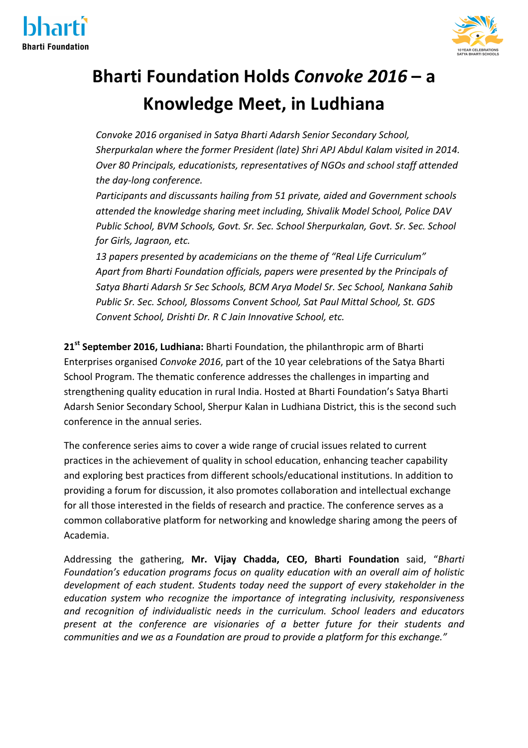



## **Bharti Foundation Holds Convoke 2016 – a Knowledge Meet, in Ludhiana**

*Convoke 2016 organised in Satya Bharti Adarsh Senior Secondary School,* Sherpurkalan where the former President (late) Shri APJ Abdul Kalam visited in 2014. **Over 80 Principals, educationists, representatives of NGOs and school staff attended** *the day-long conference.*

*Participants and discussants hailing from 51 private, aided and Government schools attended the knowledge sharing meet including, Shivalik Model School, Police DAV Public School, BVM Schools, Govt. Sr. Sec. School Sherpurkalan, Govt. Sr. Sec. School for Girls, Jagraon, etc.*

 *13 papers presented by academicians on the theme of "Real Life Curriculum"* Apart from Bharti Foundation officials, papers were presented by the Principals of Satya Bharti Adarsh Sr Sec Schools, BCM Arya Model Sr. Sec School, Nankana Sahib *Public Sr. Sec. School, Blossoms Convent School, Sat Paul Mittal School, St. GDS Convent School, Drishti Dr. R C Jain Innovative School, etc.*

21<sup>st</sup> September 2016, Ludhiana: Bharti Foundation, the philanthropic arm of Bharti Enterprises organised *Convoke 2016*, part of the 10 year celebrations of the Satya Bharti School Program. The thematic conference addresses the challenges in imparting and strengthening quality education in rural India. Hosted at Bharti Foundation's Satya Bharti Adarsh Senior Secondary School, Sherpur Kalan in Ludhiana District, this is the second such conference in the annual series.

The conference series aims to cover a wide range of crucial issues related to current practices in the achievement of quality in school education, enhancing teacher capability and exploring best practices from different schools/educational institutions. In addition to providing a forum for discussion, it also promotes collaboration and intellectual exchange for all those interested in the fields of research and practice. The conference serves as a common collaborative platform for networking and knowledge sharing among the peers of Academia.

Addressing the gathering, Mr. Vijay Chadda, CEO, Bharti Foundation said, "Bharti Foundation's education programs focus on quality education with an overall aim of holistic *development of each student. Students today need the support of every stakeholder in the education system who recognize the importance of integrating inclusivity, responsiveness* and recognition of individualistic needs in the curriculum. School leaders and educators *present at the conference are visionaries of a better future for their students and communities and we as a Foundation are proud to provide a platform for this exchange."*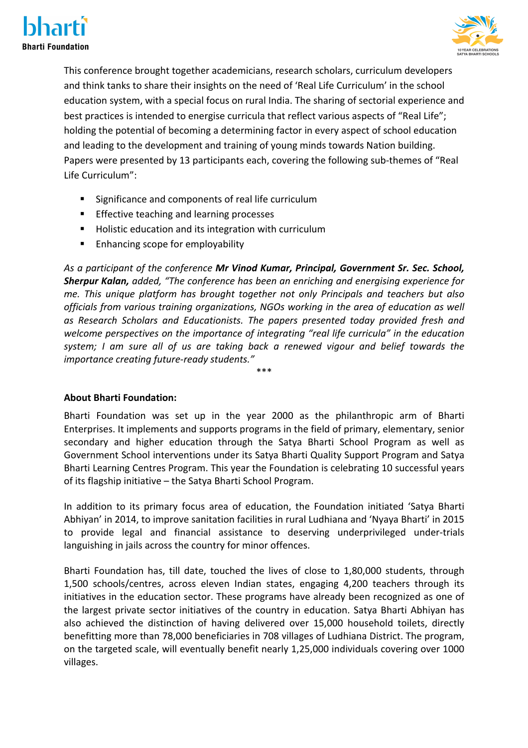



This conference brought together academicians, research scholars, curriculum developers and think tanks to share their insights on the need of 'Real Life Curriculum' in the school education system, with a special focus on rural India. The sharing of sectorial experience and best practices is intended to energise curricula that reflect various aspects of "Real Life"; holding the potential of becoming a determining factor in every aspect of school education and leading to the development and training of young minds towards Nation building. Papers were presented by 13 participants each, covering the following sub-themes of "Real Life Curriculum":

- Significance and components of real life curriculum
- **Effective teaching and learning processes**
- Holistic education and its integration with curriculum
- Enhancing scope for employability

As a participant of the conference Mr Vinod Kumar, Principal, Government Sr. Sec. School, **Sherpur Kalan,** added, "The conference has been an enriching and energising experience for *me. This unique platform has brought together not only Principals and teachers but also* officials from various training organizations, NGOs working in the area of education as well as Research Scholars and Educationists. The papers presented today provided fresh and welcome perspectives on the importance of integrating "real life curricula" in the education system; I am sure all of us are taking back a renewed vigour and belief towards the *importance creating future-ready students."* 

\*\*\*

## **About Bharti Foundation:**

Bharti Foundation was set up in the year 2000 as the philanthropic arm of Bharti Enterprises. It implements and supports programs in the field of primary, elementary, senior secondary and higher education through the Satya Bharti School Program as well as Government School interventions under its Satya Bharti Quality Support Program and Satya Bharti Learning Centres Program. This year the Foundation is celebrating 10 successful years of its flagship initiative  $-$  the Satya Bharti School Program.

In addition to its primary focus area of education, the Foundation initiated 'Satya Bharti Abhiyan' in 2014, to improve sanitation facilities in rural Ludhiana and 'Nyaya Bharti' in 2015 to provide legal and financial assistance to deserving underprivileged under-trials languishing in jails across the country for minor offences.

Bharti Foundation has, till date, touched the lives of close to 1,80,000 students, through 1,500 schools/centres, across eleven Indian states, engaging 4,200 teachers through its initiatives in the education sector. These programs have already been recognized as one of the largest private sector initiatives of the country in education. Satya Bharti Abhiyan has also achieved the distinction of having delivered over 15,000 household toilets, directly benefitting more than 78,000 beneficiaries in 708 villages of Ludhiana District. The program, on the targeted scale, will eventually benefit nearly 1,25,000 individuals covering over 1000 villages.